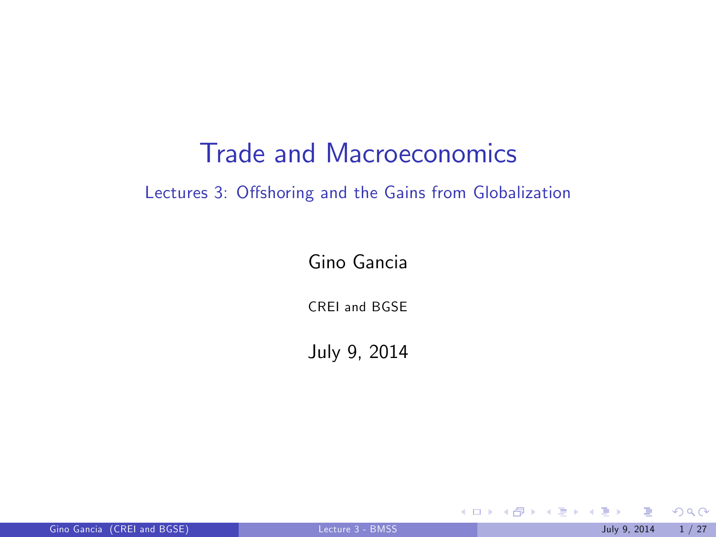## Trade and Macroeconomics

#### Lectures 3: Offshoring and the Gains from Globalization

Gino Gancia

CREI and BGSE

July 9, 2014

<span id="page-0-0"></span> $299$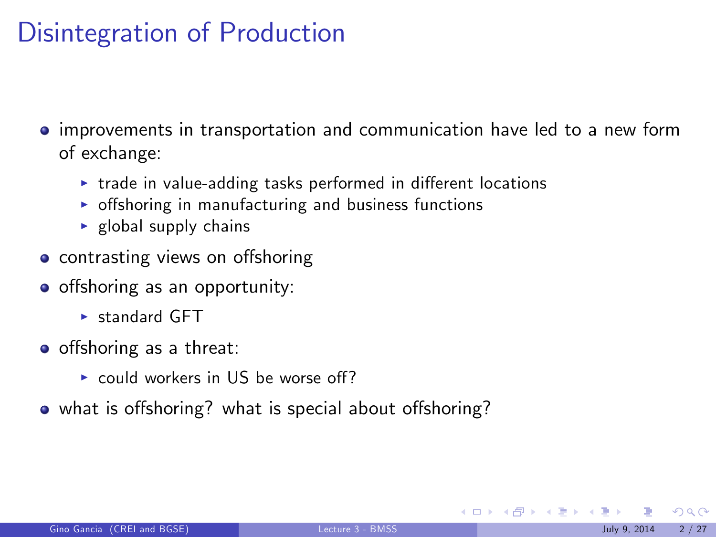# Disintegration of Production

- **•** improvements in transportation and communication have led to a new form of exchange:
	- $\triangleright$  trade in value-adding tasks performed in different locations
	- $\triangleright$  offshoring in manufacturing and business functions
	- $\blacktriangleright$  global supply chains
- contrasting views on offshoring
- o offshoring as an opportunity:
	- $\blacktriangleright$  standard GFT
- o offshoring as a threat:
	- $\triangleright$  could workers in US be worse off?
- what is offshoring? what is special about offshoring?

 $\Omega$ 

メロト メ母 トメミト メミト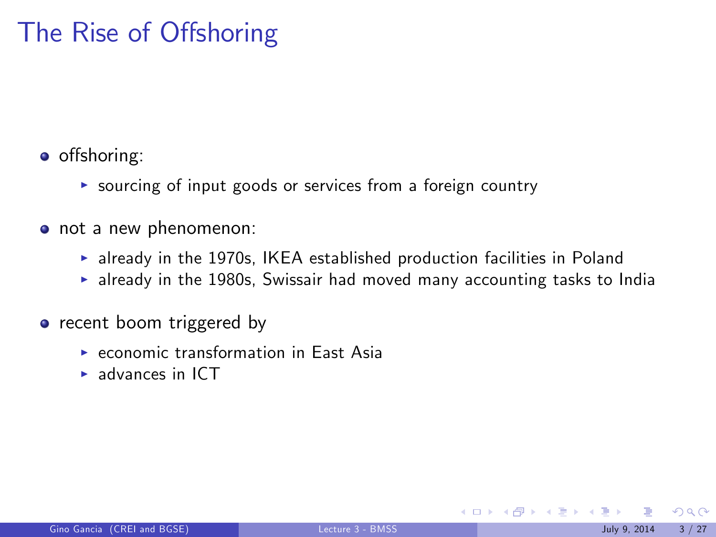# The Rise of Offshoring

• offshoring:

- $\triangleright$  sourcing of input goods or services from a foreign country
- not a new phenomenon:
	- $\triangleright$  already in the 1970s, IKEA established production facilities in Poland
	- $\blacktriangleright$  already in the 1980s, Swissair had moved many accounting tasks to India
- recent boom triggered by
	- $\triangleright$  economic transformation in East Asia
	- $\blacktriangleright$  advances in ICT

 $\Omega$ 

メロト メ何 トメ ヨ トメ ヨ ト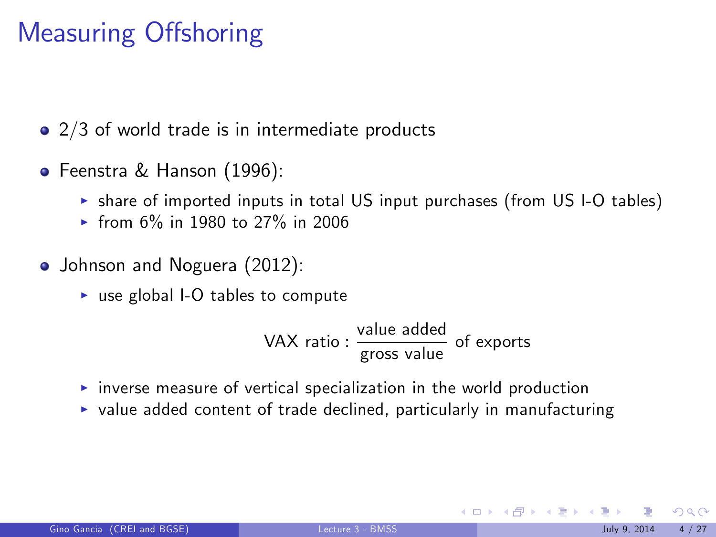# Measuring Offshoring

• 2/3 of world trade is in intermediate products

- Feenstra & Hanson (1996):
	- $\triangleright$  share of imported inputs in total US input purchases (from US I-O tables)
	- $\triangleright$  from 6% in 1980 to 27% in 2006
- Johnson and Noguera (2012):
	- $\triangleright$  use global I-O tables to compute

$$
VAX ratio: \frac{value added}{gross value} of exports
$$

- $\triangleright$  inverse measure of vertical specialization in the world production
- $\triangleright$  value added content of trade declined, particularly in manufacturing

 $\Omega$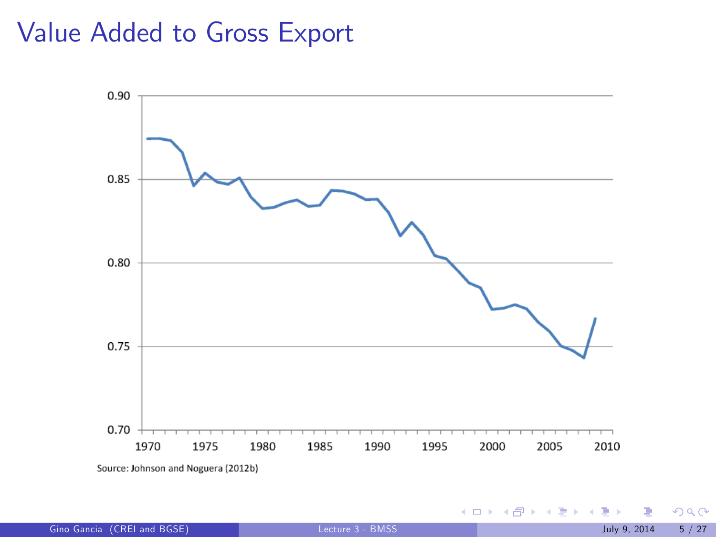#### Value Added to Gross Export



Gino Gancia (CREI and BGSE) [Lecture 3 - BMSS](#page-0-0) July 9, 2014 5 / 27

 $299$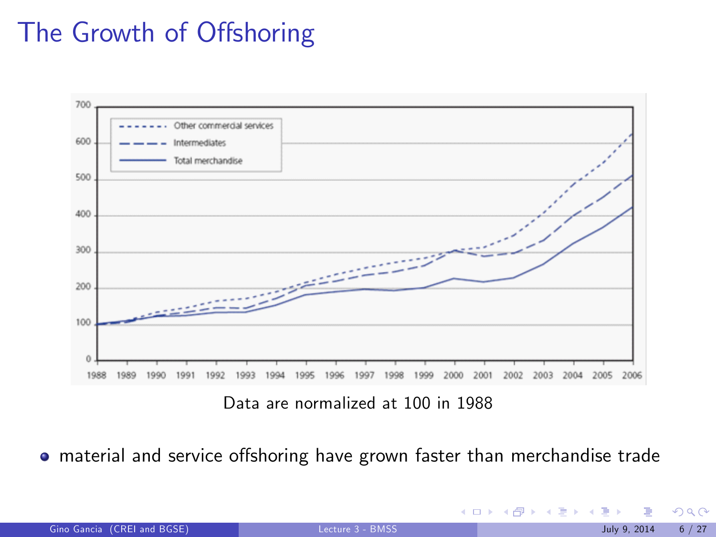# The Growth of Offshoring



Data are normalized at 100 in 1988

o material and service offshoring have grown faster than merchandise trade

| Gino Gancia (CREI and BGSE) |  |  |
|-----------------------------|--|--|
|                             |  |  |
|                             |  |  |

 $299$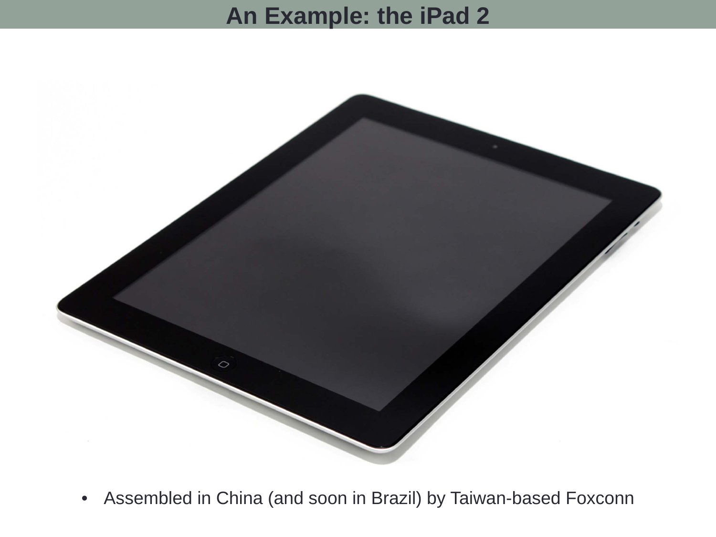# **An Example: the iPad 2**



 $\bullet$ Assembled in China (and soon in Brazil) by Taiwan-based Foxconn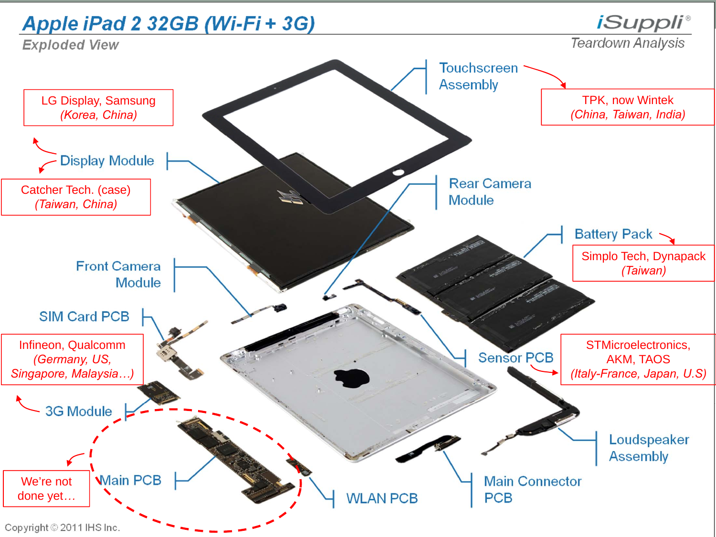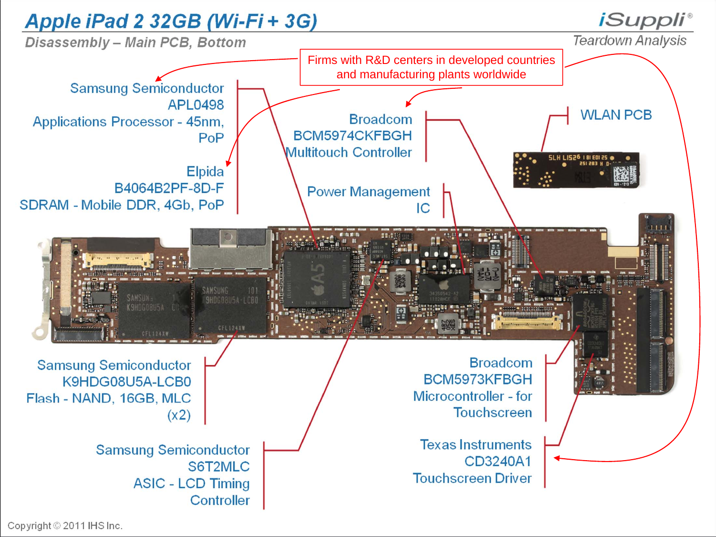

Copyright © 2011 IHS Inc.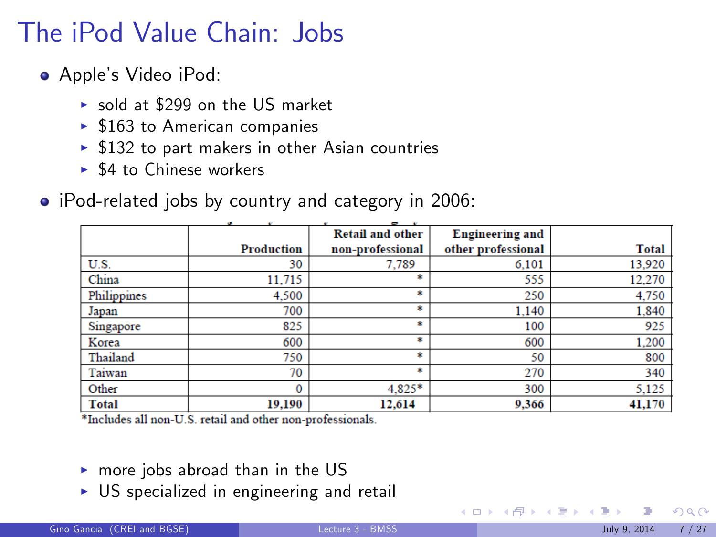# The iPod Value Chain: Jobs

- Apple's Video iPod:
	- $\triangleright$  sold at \$299 on the US market
	- $\blacktriangleright$  \$163 to American companies
	- $\blacktriangleright$  \$132 to part makers in other Asian countries
	- $\triangleright$  \$4 to Chinese workers
- iPod-related jobs by country and category in 2006:

|              |            | - -                     |                        |              |
|--------------|------------|-------------------------|------------------------|--------------|
|              |            | <b>Retail and other</b> | <b>Engineering and</b> |              |
|              | Production | non-professional        | other professional     | <b>Total</b> |
| U.S.         | 30         | 7.789                   | 6.101                  | 13,920       |
| China        | 11.715     | 粛                       | 555                    | 12.270       |
| Philippines  | 4,500      | 案                       | 250                    | 4,750        |
| Japan        | 700        | *                       | 1.140                  | 1,840        |
| Singapore    | 825        | 粛                       | 100                    | 925          |
| Korea        | 600        | 素                       | 600                    | 1,200        |
| Thailand     | 750        | *                       | 50                     | 800          |
| Taiwan       | 70         | 粛                       | 270                    | 340          |
| Other        | 0          | 4.825*                  | 300                    | 5,125        |
| <b>Total</b> | 19,190     | 12,614                  | 9,366                  | 41,170       |

\*Includes all non-U.S. retail and other non-professionals.

- $\triangleright$  more jobs abroad than in the US
- $\triangleright$  US specialized in engineering and retail

 $\Omega$ 

 $\left\{ \begin{array}{ccc} 1 & 0 & 0 \\ 0 & 1 & 0 \end{array} \right\}$  ,  $\left\{ \begin{array}{ccc} 0 & 0 & 0 \\ 0 & 0 & 0 \end{array} \right\}$  ,  $\left\{ \begin{array}{ccc} 0 & 0 & 0 \\ 0 & 0 & 0 \end{array} \right\}$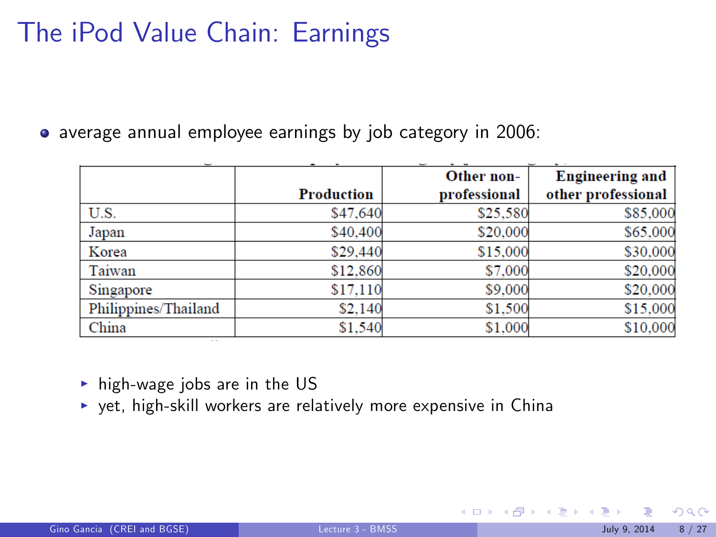# The iPod Value Chain: Earnings

average annual employee earnings by job category in 2006:

|                      |                   | Other non-   | <b>Engineering and</b> |
|----------------------|-------------------|--------------|------------------------|
|                      | <b>Production</b> | professional | other professional     |
| U.S.                 | \$47,640          | \$25,580     | \$85,000               |
| Japan                | \$40,400          | \$20,000     | \$65,000               |
| Korea                | \$29,440          | \$15,000     | \$30,000               |
| Taiwan               | \$12,860          | \$7,000      | \$20,000               |
| Singapore            | \$17,110          | \$9,000      | \$20,000               |
| Philippines/Thailand | \$2,140           | \$1,500      | \$15,000               |
| China                | \$1,540           | \$1,000      | \$10,000               |

 $\triangleright$  high-wage jobs are in the US

 $\rightarrow$  yet, high-skill workers are relatively more expensive in China

 $\Omega$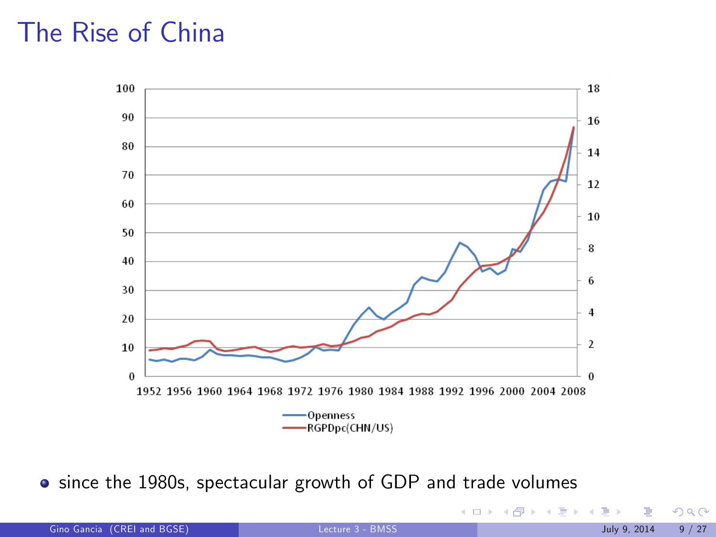# The Rise of China



since the 1980s, spectacular growth of GDP and trade volumes

|  | Gino Gancia (CREI and BGSE) | Lecture 3 - BMSS | 9/27<br>July 9, 2014 |
|--|-----------------------------|------------------|----------------------|
|--|-----------------------------|------------------|----------------------|

 $299$ 

メロト メ御 トメ きょ メきょ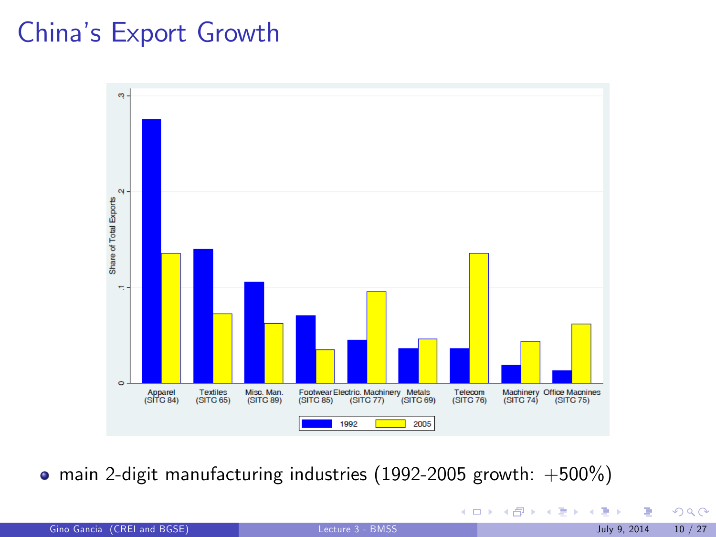# Chinaís Export Growth



 $\bullet$  main 2-digit manufacturing industries (1992-2005 growth: +500%)

| Gino Gancia (CREI and BGSE) | Lecture 3 - BMSS | 10/27<br>July 9, 2014 |
|-----------------------------|------------------|-----------------------|
|-----------------------------|------------------|-----------------------|

 $299$ 

メロト メ御 トメ きょ メきょ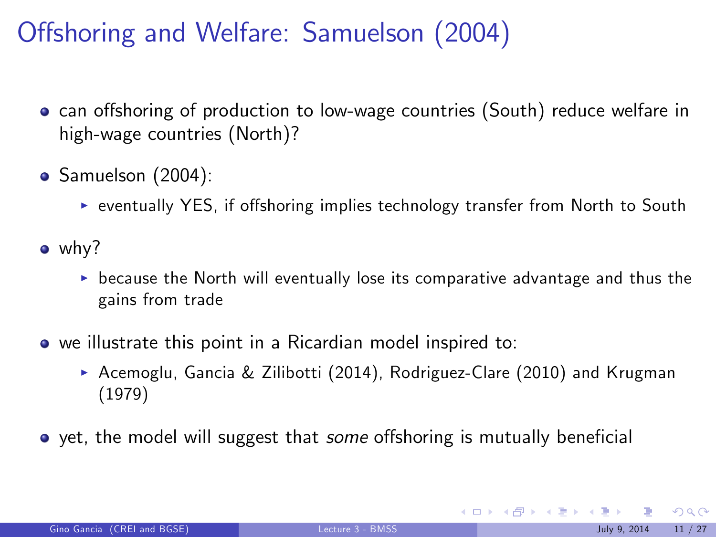# Offshoring and Welfare: Samuelson (2004)

- **•** can offshoring of production to low-wage countries (South) reduce welfare in high-wage countries (North)?
- Samuelson (2004):
	- ▶ eventually YES, if offshoring implies technology transfer from North to South
- why?
	- $\triangleright$  because the North will eventually lose its comparative advantage and thus the gains from trade
- we illustrate this point in a Ricardian model inspired to:
	- Acemoglu, Gancia & Zilibotti (2014), Rodriguez-Clare (2010) and Krugman (1979)
- $\bullet$  yet, the model will suggest that *some* offshoring is mutually beneficial

 $209$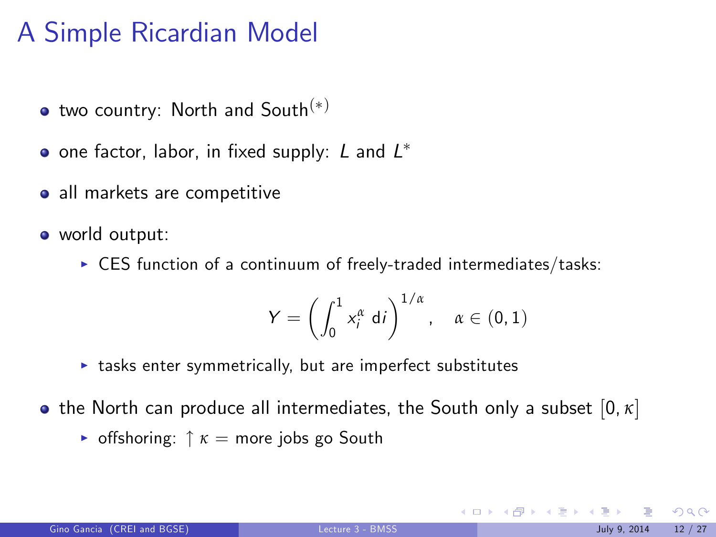# A Simple Ricardian Model

- $\bullet$  two country: North and South $(*)$
- one factor, labor, in fixed supply:  $L$  and  $L^\ast$
- all markets are competitive
- world output:
	- $\triangleright$  CES function of a continuum of freely-traded intermediates/tasks:

$$
Y = \left(\int_0^1 x_i^{\alpha} \, \mathrm{d}i\right)^{1/\alpha}, \quad \alpha \in (0,1)
$$

 $\triangleright$  tasks enter symmetrically, but are imperfect substitutes

the North can produce all intermediates, the South only a subset [0, *κ*]

**•** offshoring:  $\uparrow \kappa$  = more jobs go South

 $\Omega$ 

メロト メ御 トメ きょ メきょ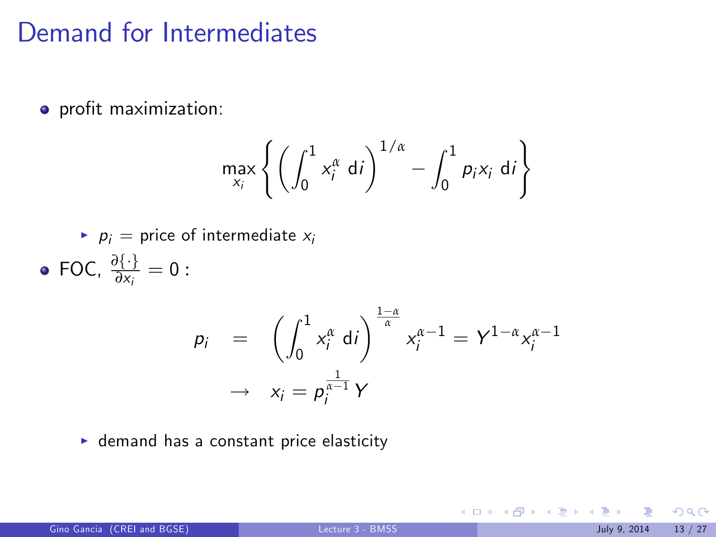#### Demand for Intermediates

o profit maximization:

$$
\max_{x_i} \left\{ \left( \int_0^1 x_i^{\alpha} \, \mathrm{d}i \right)^{1/\alpha} - \int_0^1 p_i x_i \, \mathrm{d}i \right\}
$$

- $p_i$  = price of intermediate  $x_i$
- FOC,  $\frac{\partial {\{\cdot\}}}{\partial x_i} = 0$ :

$$
p_i = \left( \int_0^1 x_i^{\alpha} \, \mathrm{d}i \right)^{\frac{1-\alpha}{\alpha}} x_i^{\alpha-1} = Y^{1-\alpha} x_i^{\alpha-1}
$$

$$
\rightarrow x_i = p_i^{\frac{1}{\alpha-1}} Y
$$

 $\blacktriangleright$  demand has a constant price elasticity

 $2990$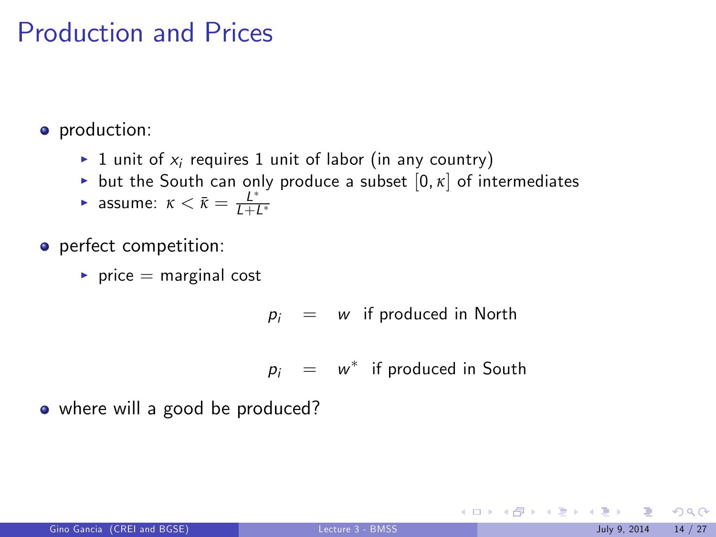### Production and Prices

• production:

- $\blacktriangleright$  1 unit of  $x_i$  requires 1 unit of labor (in any country)
- but the South can only produce a subset  $[0, \kappa]$  of intermediates
- **F** assume:  $\kappa < \bar{\kappa} = \frac{L^*}{L + L^*}$

o perfect competition:

 $\blacktriangleright$  price = marginal cost

 $p_i = w$  if produced in North

 $p_i = w^*$  if produced in South

• where will a good be produced?

 $209$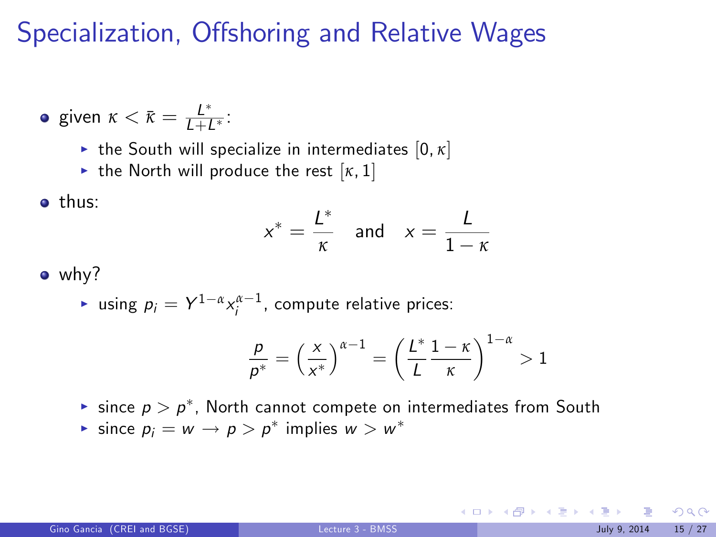# Specialization, Offshoring and Relative Wages

• given 
$$
\kappa < \bar{\kappa} = \frac{L^*}{L + L^*}
$$
:

- $\blacktriangleright$  the South will specialize in intermediates  $[0, \kappa]$
- If the North will produce the rest  $[\kappa, 1]$

#### • thus:

$$
x^* = \frac{L^*}{\kappa} \quad \text{and} \quad x = \frac{L}{1-\kappa}
$$

• why?

 $\blacktriangleright$  using  $p_i = Y^{1-\alpha} x_i^{\alpha-1}$ , compute relative prices:

$$
\frac{p}{p^*} = \left(\frac{x}{x^*}\right)^{\alpha-1} = \left(\frac{L^*}{L} \frac{1-\kappa}{\kappa}\right)^{1-\alpha} > 1
$$

- $\blacktriangleright$  since  $p > p^*$ , North cannot compete on intermediates from South
- Since  $p_i = w \rightarrow p > p^*$  implies  $w > w^*$

 $2990$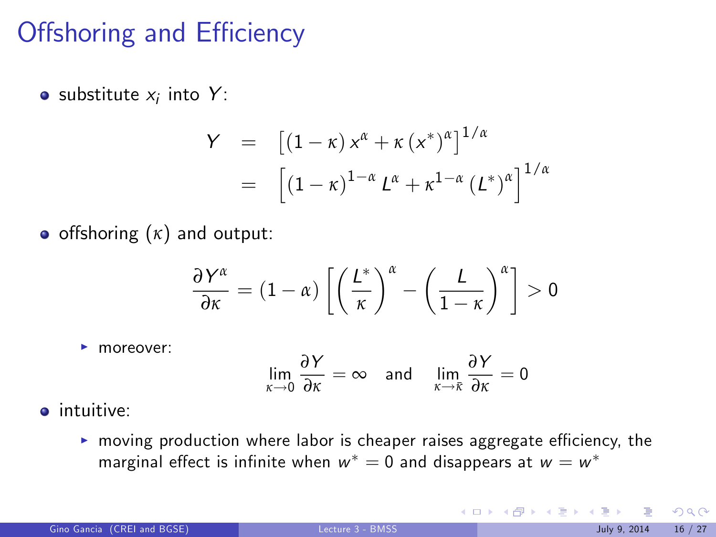# Offshoring and Efficiency

substitute  $x_i$  into  $Y$ :

$$
Y = [(1 - \kappa) x^{\alpha} + \kappa (x^*)^{\alpha}]^{1/\alpha}
$$
  
= 
$$
[(1 - \kappa)^{1 - \alpha} L^{\alpha} + \kappa^{1 - \alpha} (L^*)^{\alpha}]^{1/\alpha}
$$

**•** offshoring  $(\kappa)$  and output:

$$
\frac{\partial Y^{\alpha}}{\partial \kappa} = (1 - \alpha) \left[ \left( \frac{L^*}{\kappa} \right)^{\alpha} - \left( \frac{L}{1 - \kappa} \right)^{\alpha} \right] > 0
$$

 $\blacktriangleright$  moreover:

$$
\lim_{\kappa \to 0} \frac{\partial Y}{\partial \kappa} = \infty \quad \text{and} \quad \lim_{\kappa \to \bar{\kappa}} \frac{\partial Y}{\partial \kappa} = 0
$$

- **·** intuitive:
	- $\triangleright$  moving production where labor is cheaper raises aggregate efficiency, the marginal effect is infinite when  $w^* = 0$  and disappears at  $w = w^*$

 $\Omega$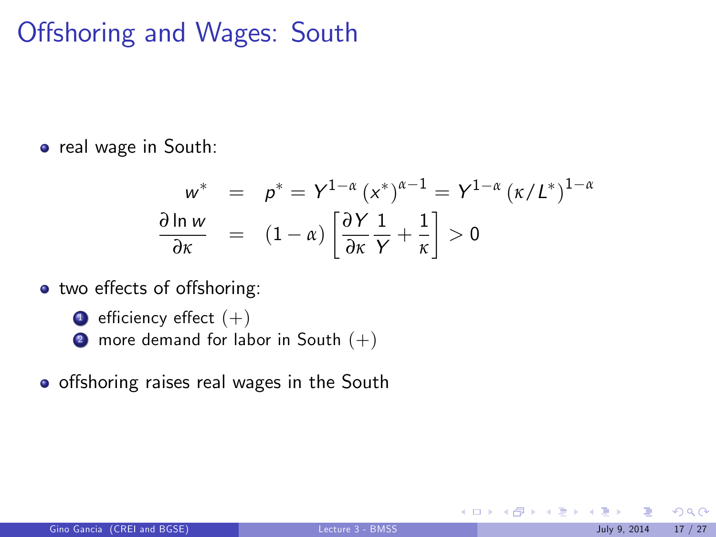# Offshoring and Wages: South

o real wage in South:

$$
w^* = p^* = Y^{1-\alpha} (x^*)^{\alpha-1} = Y^{1-\alpha} (x/L^*)^{1-\alpha}
$$
  
\n
$$
\frac{\partial \ln w}{\partial x} = (1-\alpha) \left[ \frac{\partial Y}{\partial x} \frac{1}{Y} + \frac{1}{x} \right] > 0
$$

- two effects of offshoring:
	- $\bullet$  efficiency effect  $(+)$
	- 2 more demand for labor in South  $(+)$
- o offshoring raises real wages in the South

メロメ メ都 メメ ミメ メミメ

 $QQ$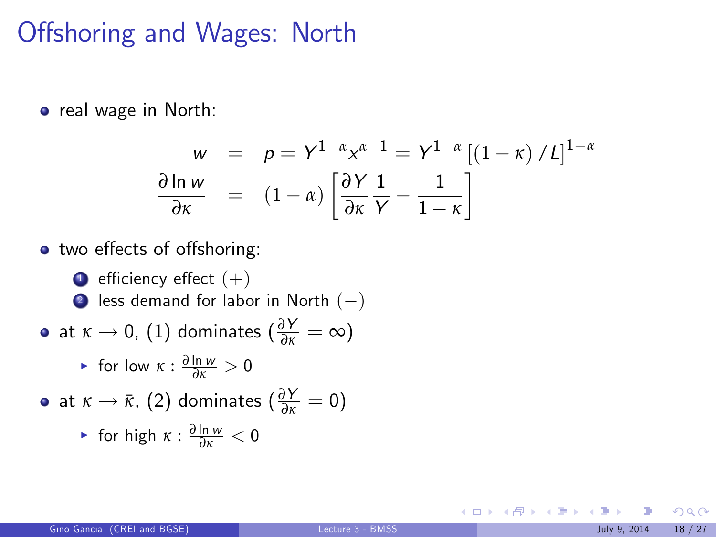### Offshoring and Wages: North

**•** real wage in North:

$$
w = p = Y^{1-\alpha} x^{\alpha-1} = Y^{1-\alpha} [(1-\kappa) / L]^{1-\alpha}
$$

$$
\frac{\partial \ln w}{\partial x} = (1-\alpha) \left[ \frac{\partial Y}{\partial x} \frac{1}{Y} - \frac{1}{1-\kappa} \right]
$$

two e§ects of o§shoring:

 $\bullet$  efficiency effect  $(+)$ 2 less demand for labor in North  $(-)$  $\det \kappa \to 0$ , (1) dominates ( $\frac{\partial Y}{\partial \kappa} = \infty$ ) ► for low *κ* :  $\frac{\partial \ln w}{\partial x} > 0$ at  $\kappa \to \bar{\kappa}$ , (2) dominates ( $\frac{\partial Y}{\partial \kappa} = 0$ )

• for high 
$$
\kappa : \frac{\partial \ln w}{\partial x} < 0
$$

 $QQ$ 

メロメ メ御 メメ きょうくきょう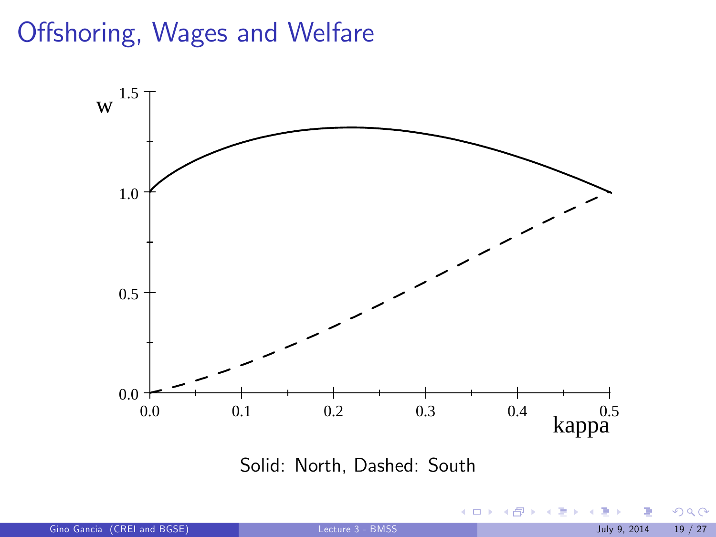# Offshoring, Wages and Welfare



Solid: North, Dashed: South

 $\leftarrow$   $\Box$   $\rightarrow$ 

 $\leftarrow$   $\leftarrow$   $\rightarrow$ 

B

 $290$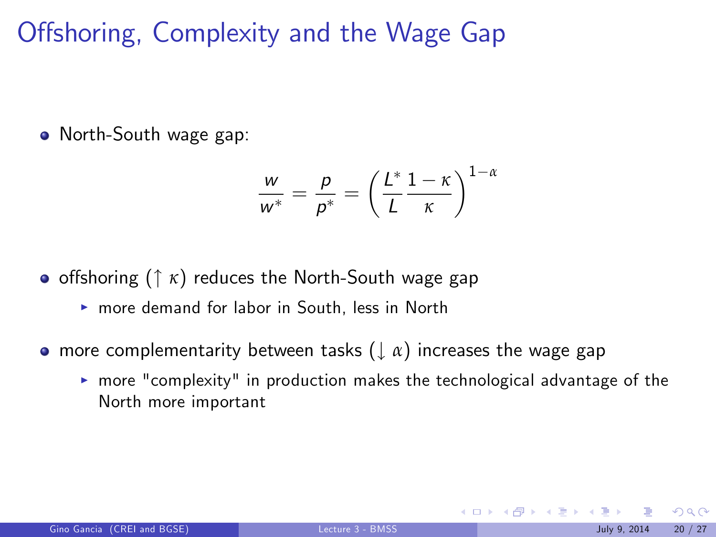Offshoring, Complexity and the Wage Gap

• North-South wage gap:

$$
\frac{w}{w^*} = \frac{p}{p^*} = \left(\frac{L^*}{L} \frac{1-\kappa}{\kappa}\right)^{1-\alpha}
$$

• offshoring (↑ *κ*) reduces the North-South wage gap

- $\triangleright$  more demand for labor in South, less in North
- **•** more complementarity between tasks ( $\downarrow$  *α*) increases the wage gap
	- $\triangleright$  more "complexity" in production makes the technological advantage of the North more important

 $\Omega$ 

K ロ ▶ K 御 ▶ K 경 ▶ K 경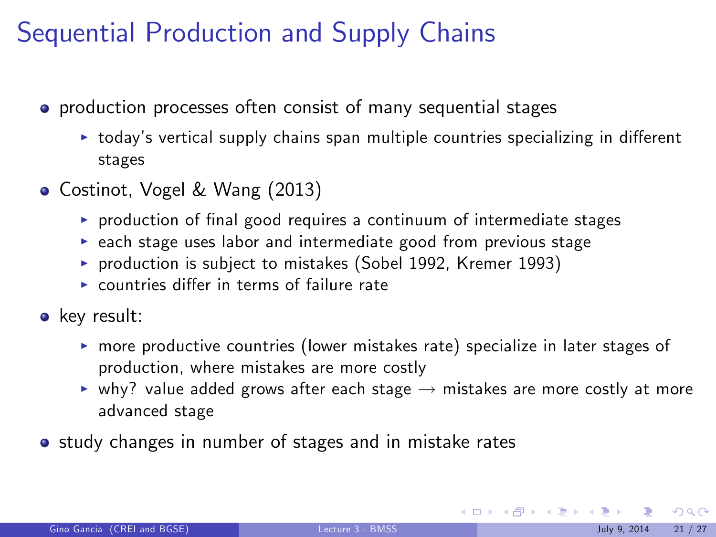# Sequential Production and Supply Chains

- **•** production processes often consist of many sequential stages
	- $\triangleright$  today's vertical supply chains span multiple countries specializing in different stages
- Costinot, Vogel & Wang (2013)
	- $\triangleright$  production of final good requires a continuum of intermediate stages
	- $\triangleright$  each stage uses labor and intermediate good from previous stage
	- $\triangleright$  production is subject to mistakes (Sobel 1992, Kremer 1993)
	- $\triangleright$  countries differ in terms of failure rate
- key result:
	- $\triangleright$  more productive countries (lower mistakes rate) specialize in later stages of production, where mistakes are more costly
	- $\triangleright$  why? value added grows after each stage  $\rightarrow$  mistakes are more costly at more advanced stage
- study changes in number of stages and in mistake rates

 $QQ$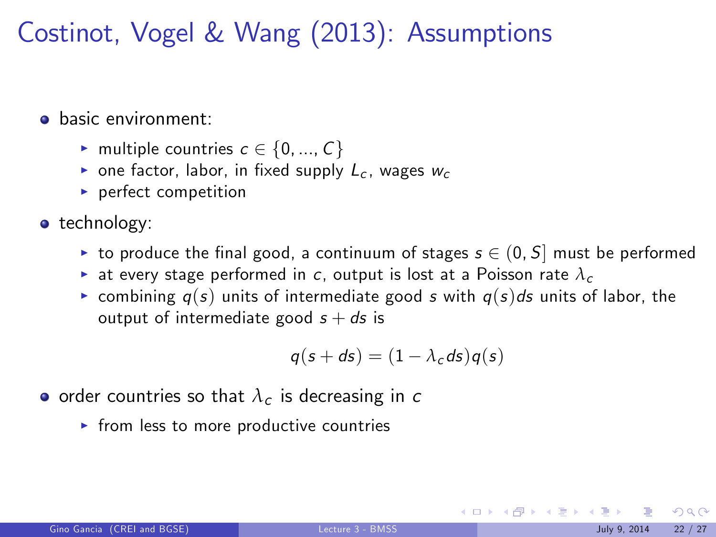Costinot, Vogel & Wang (2013): Assumptions

**a** basic environment:

- $\blacktriangleright$  multiple countries  $c \in \{0, ..., C\}$
- one factor, labor, in fixed supply  $L_c$ , wages  $w_c$
- $\blacktriangleright$  perfect competition
- technology:
	- ight to produce the final good, a continuum of stages  $s \in (0, S]$  must be performed
	- ightharpoontan at every stage performed in c, output is lost at a Poisson rate  $\lambda_c$
	- **Examble 1** combining  $q(s)$  units of intermediate good s with  $q(s)ds$  units of labor, the output of intermediate good  $s + ds$  is

$$
q(s+ds)=(1-\lambda_c ds)q(s)
$$

- order countries so that  $\lambda_c$  is decreasing in c
	- $\triangleright$  from less to more productive countries

 $\Omega$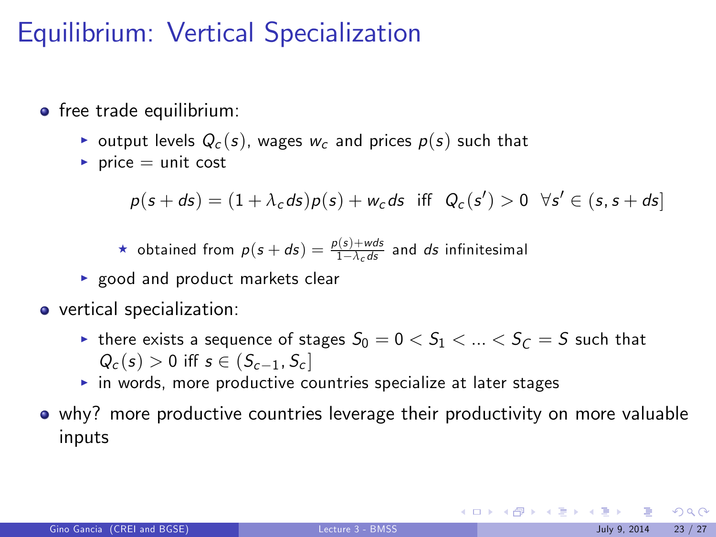# Equilibrium: Vertical Specialization

- **•** free trade equilibrium:
	- output levels  $Q_c(s)$ , wages  $w_c$  and prices  $p(s)$  such that
	- $\blacktriangleright$  price = unit cost

 $p(s+ds) = (1+\lambda_c ds)p(s) + w_c ds$  iff  $Q_c(s') > 0 \ \forall s' \in (s, s+ds]$ 

**\*** obtained from  $p(s + ds) = \frac{p(s) + wds}{1 - \lambda_c ds}$  and ds infinitesimal

- $\triangleright$  good and product markets clear
- vertical specialization:
	- In there exists a sequence of stages  $S_0 = 0 < S_1 < ... < S_{\ell} = S$  such that  $Q_c(s) > 0$  iff  $s \in (S_{c-1}, S_c]$
	- $\triangleright$  in words, more productive countries specialize at later stages
- why? more productive countries leverage their productivity on more valuable inputs

 $2990$ 

**K ロ ト K 御 ト K 澄 ト K 差 ト**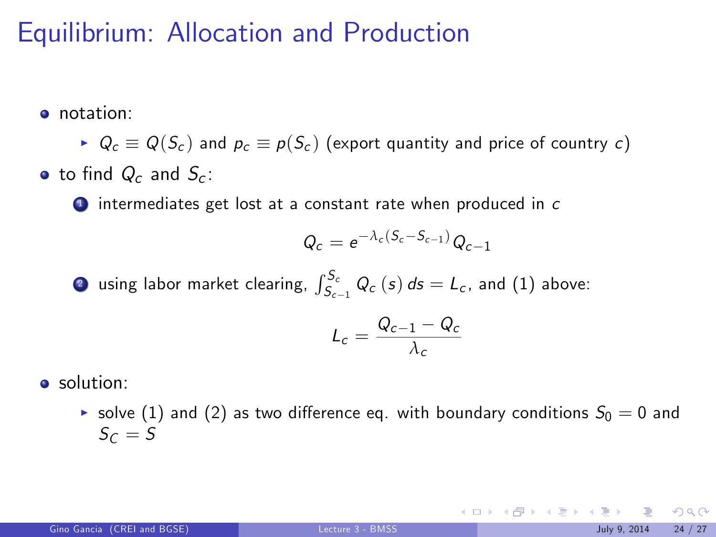### Equilibrium: Allocation and Production

**o** notation:

 $\blacktriangleright$   $Q_c \equiv Q(S_c)$  and  $p_c \equiv p(S_c)$  (export quantity and price of country c) • to find  $Q_c$  and  $S_c$ :

 $\bullet$  intermediates get lost at a constant rate when produced in  $\epsilon$ 

$$
Q_c = e^{-\lambda_c(S_c - S_{c-1})} Q_{c-1}
$$

**2** using labor market clearing,  $\int_{S_{c-1}}^{S_c} Q_c(s) ds = L_c$ , and (1) above:

$$
L_c = \frac{Q_{c-1} - Q_c}{\lambda_c}
$$

**•** solution:

▶ solve (1) and (2) as two difference eq. with boundary conditions  $S_0 = 0$  and  $S_{\mathcal{C}}=S$ 

 $299$ 

**K ロ ト K 御 ト K 澄 ト K 差 ト**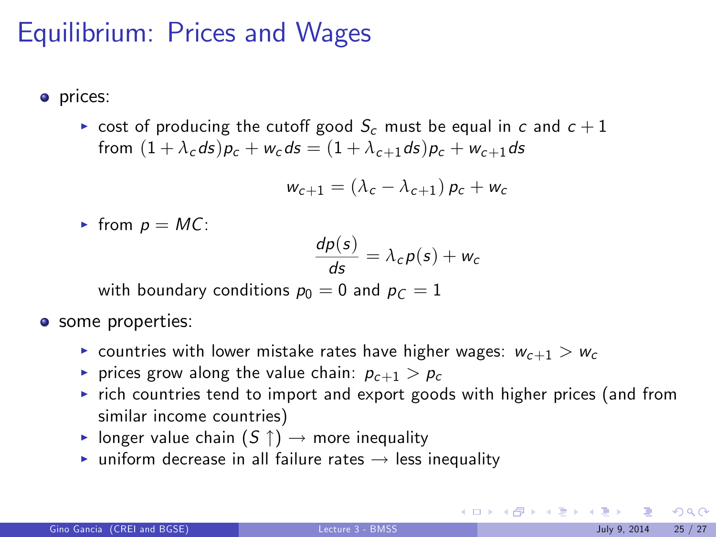# Equilibrium: Prices and Wages

- prices:
	- $\triangleright$  cost of producing the cutoff good  $S_c$  must be equal in c and  $c+1$ from  $(1 + \lambda_c ds)p_c + w_c ds = (1 + \lambda_{c+1} ds)p_c + w_{c+1} ds$

$$
w_{c+1} = (\lambda_c - \lambda_{c+1}) p_c + w_c
$$

From  $p = MC$ :

$$
\frac{dp(s)}{ds} = \lambda_c p(s) + w_c
$$

with boundary conditions  $p_0 = 0$  and  $p_C = 1$ 

- **o** some properties:
	- **countries with lower mistake rates have higher wages:**  $w_{c+1} > w_c$
	- rices grow along the value chain:  $p_{c+1} > p_c$
	- $\triangleright$  rich countries tend to import and export goods with higher prices (and from similar income countries)
	- In longer value chain  $(S \uparrow) \rightarrow$  more inequality
	- ighth uniform decrease in all failure rates  $\rightarrow$  less inequality

 $\Omega$ 

メロメ メ都 メメ きょうくぼ メー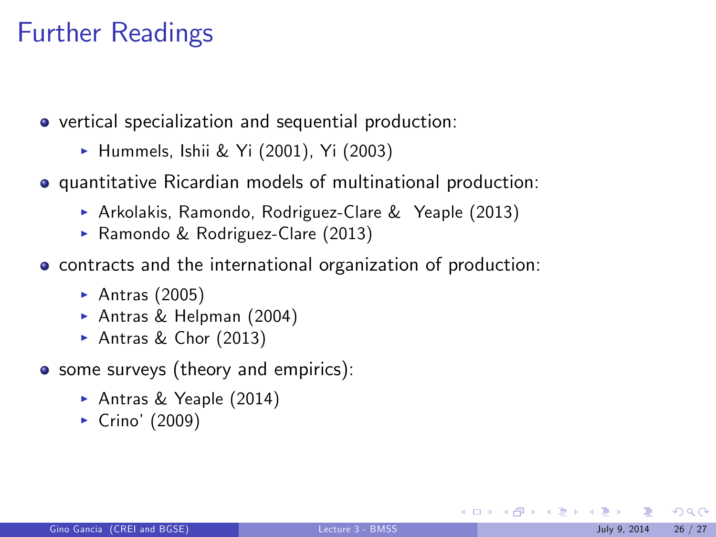# Further Readings

vertical specialization and sequential production:

- ▶ Hummels, Ishii & Yi (2001), Yi (2003)
- quantitative Ricardian models of multinational production:
	- ▶ Arkolakis, Ramondo, Rodriguez-Clare & Yeaple (2013)
	- ▶ Ramondo & Rodriguez-Clare (2013)
- contracts and the international organization of production:
	- Antras  $(2005)$
	- ▶ Antras & Helpman (2004)
	- Antras & Chor  $(2013)$
- some surveys (theory and empirics):
	- ▶ Antras & Yeaple (2014)
	- $\blacktriangleright$  Crino' (2009)

 $\Omega$ 

メロメ メ都 メメ ミメ メミメ